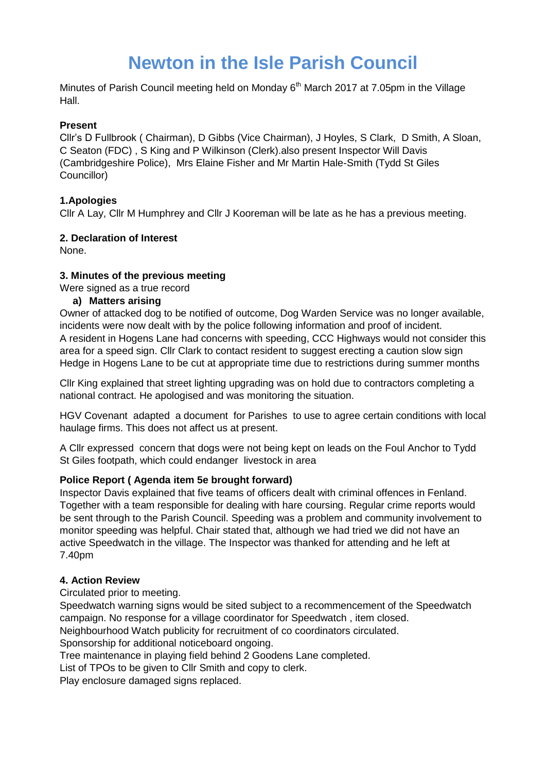# **Newton in the Isle Parish Council**

Minutes of Parish Council meeting held on Monday 6<sup>th</sup> March 2017 at 7.05pm in the Village Hall.

# **Present**

Cllr's D Fullbrook ( Chairman), D Gibbs (Vice Chairman), J Hoyles, S Clark, D Smith, A Sloan, C Seaton (FDC) , S King and P Wilkinson (Clerk).also present Inspector Will Davis (Cambridgeshire Police), Mrs Elaine Fisher and Mr Martin Hale-Smith (Tydd St Giles Councillor)

# **1.Apologies**

Cllr A Lay, Cllr M Humphrey and Cllr J Kooreman will be late as he has a previous meeting.

## **2. Declaration of Interest**

None.

## **3. Minutes of the previous meeting**

Were signed as a true record

## **a) Matters arising**

Owner of attacked dog to be notified of outcome, Dog Warden Service was no longer available, incidents were now dealt with by the police following information and proof of incident. A resident in Hogens Lane had concerns with speeding, CCC Highways would not consider this area for a speed sign. Cllr Clark to contact resident to suggest erecting a caution slow sign Hedge in Hogens Lane to be cut at appropriate time due to restrictions during summer months

Cllr King explained that street lighting upgrading was on hold due to contractors completing a national contract. He apologised and was monitoring the situation.

HGV Covenant adapted a document for Parishes to use to agree certain conditions with local haulage firms. This does not affect us at present.

A Cllr expressed concern that dogs were not being kept on leads on the Foul Anchor to Tydd St Giles footpath, which could endanger livestock in area

## **Police Report ( Agenda item 5e brought forward)**

Inspector Davis explained that five teams of officers dealt with criminal offences in Fenland. Together with a team responsible for dealing with hare coursing. Regular crime reports would be sent through to the Parish Council. Speeding was a problem and community involvement to monitor speeding was helpful. Chair stated that, although we had tried we did not have an active Speedwatch in the village. The Inspector was thanked for attending and he left at 7.40pm

## **4. Action Review**

Circulated prior to meeting.

Speedwatch warning signs would be sited subject to a recommencement of the Speedwatch campaign. No response for a village coordinator for Speedwatch , item closed.

Neighbourhood Watch publicity for recruitment of co coordinators circulated.

Sponsorship for additional noticeboard ongoing.

Tree maintenance in playing field behind 2 Goodens Lane completed.

List of TPOs to be given to Cllr Smith and copy to clerk.

Play enclosure damaged signs replaced.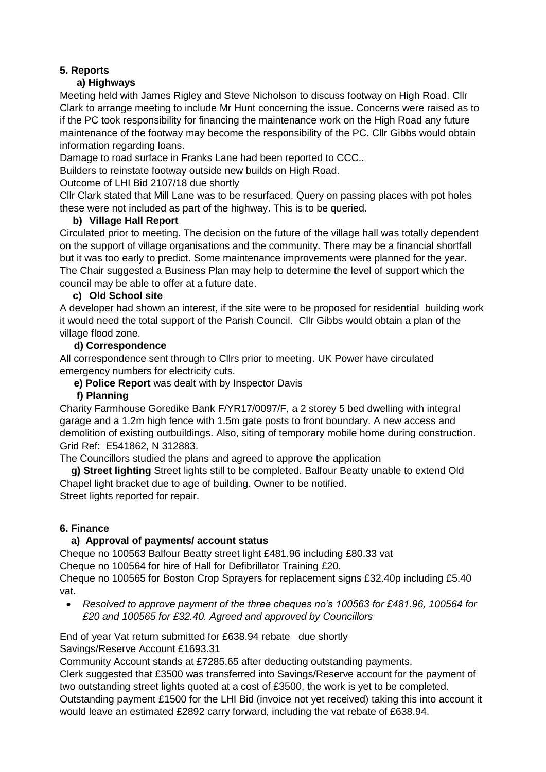# **5. Reports**

# **a) Highways**

Meeting held with James Rigley and Steve Nicholson to discuss footway on High Road. Cllr Clark to arrange meeting to include Mr Hunt concerning the issue. Concerns were raised as to if the PC took responsibility for financing the maintenance work on the High Road any future maintenance of the footway may become the responsibility of the PC. Cllr Gibbs would obtain information regarding loans.

Damage to road surface in Franks Lane had been reported to CCC..

Builders to reinstate footway outside new builds on High Road.

Outcome of LHI Bid 2107/18 due shortly

Cllr Clark stated that Mill Lane was to be resurfaced. Query on passing places with pot holes these were not included as part of the highway. This is to be queried.

## **b) Village Hall Report**

Circulated prior to meeting. The decision on the future of the village hall was totally dependent on the support of village organisations and the community. There may be a financial shortfall but it was too early to predict. Some maintenance improvements were planned for the year. The Chair suggested a Business Plan may help to determine the level of support which the council may be able to offer at a future date.

## **c) Old School site**

A developer had shown an interest, if the site were to be proposed for residential building work it would need the total support of the Parish Council. Cllr Gibbs would obtain a plan of the village flood zone.

#### **d) Correspondence**

All correspondence sent through to Cllrs prior to meeting. UK Power have circulated emergency numbers for electricity cuts.

 **e) Police Report** was dealt with by Inspector Davis

## **f) Planning**

Charity Farmhouse Goredike Bank F/YR17/0097/F, a 2 storey 5 bed dwelling with integral garage and a 1.2m high fence with 1.5m gate posts to front boundary. A new access and demolition of existing outbuildings. Also, siting of temporary mobile home during construction. Grid Ref: E541862, N 312883.

The Councillors studied the plans and agreed to approve the application

 **g) Street lighting** Street lights still to be completed. Balfour Beatty unable to extend Old Chapel light bracket due to age of building. Owner to be notified. Street lights reported for repair.

## **6. Finance**

## **a) Approval of payments/ account status**

Cheque no 100563 Balfour Beatty street light £481.96 including £80.33 vat Cheque no 100564 for hire of Hall for Defibrillator Training £20.

Cheque no 100565 for Boston Crop Sprayers for replacement signs £32.40p including £5.40 vat.

 *Resolved to approve payment of the three cheques no's 100563 for £481.96, 100564 for £20 and 100565 for £32.40. Agreed and approved by Councillors*

End of year Vat return submitted for £638.94 rebate due shortly Savings/Reserve Account £1693.31

Community Account stands at £7285.65 after deducting outstanding payments.

Clerk suggested that £3500 was transferred into Savings/Reserve account for the payment of two outstanding street lights quoted at a cost of £3500, the work is yet to be completed.

Outstanding payment £1500 for the LHI Bid (invoice not yet received) taking this into account it would leave an estimated £2892 carry forward, including the vat rebate of £638.94.